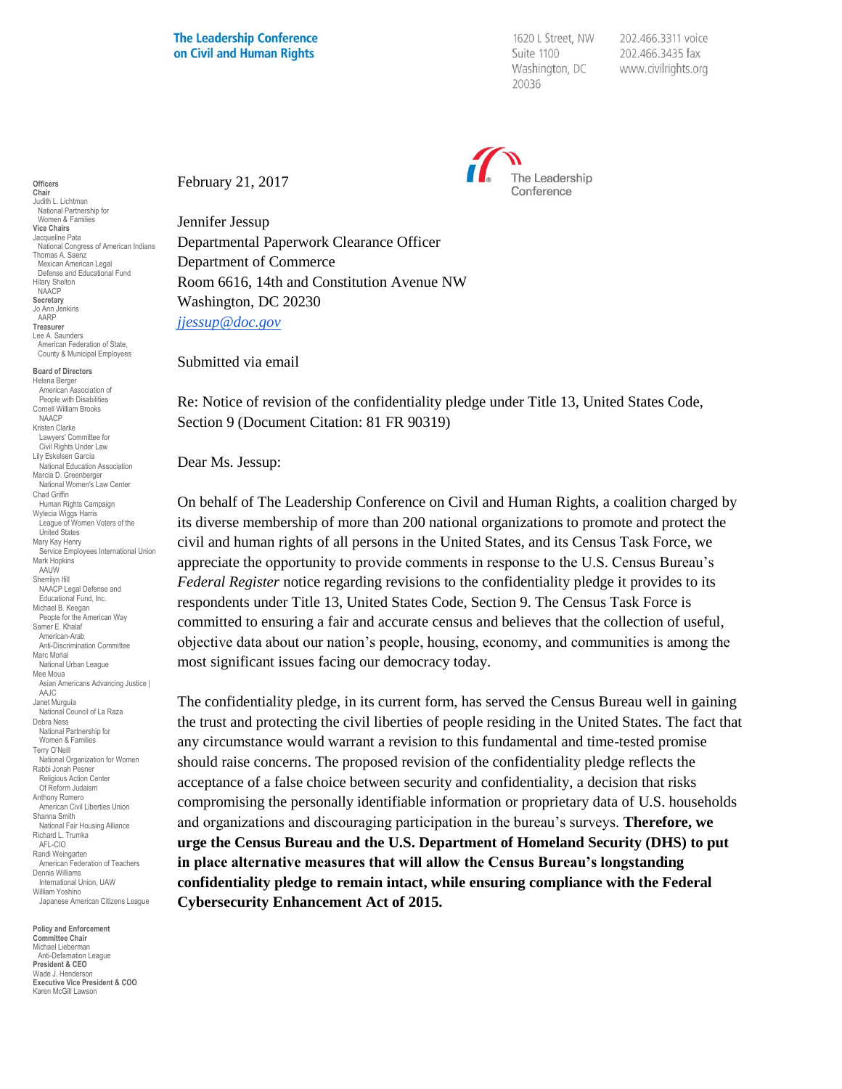1620 L Street, NW Suite 1100 Washington, DC 20036

202.466.3311 voice 202.466.3435 fax www.civilrights.org



February 21, 2017

Jennifer Jessup Departmental Paperwork Clearance Officer Department of Commerce Room 6616, 14th and Constitution Avenue NW Washington, DC 20230 *[jjessup@doc.gov](mailto:jjessup@doc.gov)*

Submitted via email

Re: Notice of revision of the confidentiality pledge under Title 13, United States Code, Section 9 (Document Citation: 81 FR 90319)

Dear Ms. Jessup:

On behalf of The Leadership Conference on Civil and Human Rights, a coalition charged by its diverse membership of more than 200 national organizations to promote and protect the civil and human rights of all persons in the United States, and its Census Task Force, we appreciate the opportunity to provide comments in response to the U.S. Census Bureau's *Federal Register* notice regarding revisions to the confidentiality pledge it provides to its respondents under Title 13, United States Code, Section 9. The Census Task Force is committed to ensuring a fair and accurate census and believes that the collection of useful, objective data about our nation's people, housing, economy, and communities is among the most significant issues facing our democracy today.

The confidentiality pledge, in its current form, has served the Census Bureau well in gaining the trust and protecting the civil liberties of people residing in the United States. The fact that any circumstance would warrant a revision to this fundamental and time-tested promise should raise concerns. The proposed revision of the confidentiality pledge reflects the acceptance of a false choice between security and confidentiality, a decision that risks compromising the personally identifiable information or proprietary data of U.S. households and organizations and discouraging participation in the bureau's surveys. **Therefore, we urge the Census Bureau and the U.S. Department of Homeland Security (DHS) to put in place alternative measures that will allow the Census Bureau's longstanding confidentiality pledge to remain intact, while ensuring compliance with the Federal Cybersecurity Enhancement Act of 2015.**

Chair Judith L. Lichtman National Partnership for Women & Families Vice Chairs Jacqueline Pata National Congress of American Indians Thomas A. Saenz Mexican American Legal Defense and Educational Fund Hilary Shelton NAACP Secretary Jo Ann Jenkins AARP Treasurer Lee A. Saunders American Federation of State, County & Municipal Employees Board of Directors Helena Berger American Association of People with Disabilities Cornell William Brooks NAACP Kristen Clarke Lawyers' Committee for Civil Rights Under Law Lily Eskelsen García National Education Association Marcia D. Greenberger National Women's Law Center Chad Griffin Human Rights Campaign Wylecia Wiggs Harris League of Women Voters of the United States Mary Kay Henry Service Employees International Union Mark Hopkins AAUW Sherrilyn Ifill NAACP Legal Defense and Educational Fund, Inc. Michael B. Keegan People for the American Way Samer E. Khalaf American-Arab Anti-Discrimination Committee Marc Morial National Urban League Mee Moua Asian Americans Advancing Justice | AAJC Janet Murguía National Council of La Raza Debra Ness National Partnership for Women & Families Terry O'Neill National Organization for Women Rabbi Jonah Pesner Religious Action Center Of Reform Judaism Anthony Romero American Civil Liberties Union Shanna Smith National Fair Housing Alliance Richard L. Trumka AFL-CIO Randi Weingarten American Federation of Teachers Dennis Williams International Union, UAW William Yoshino Japanese American Citizens League

**Officers** 

Policy and Enforcement Committee Chair Michael Lieberman Anti-Defamation League President & CEO Wade J. Henderson Executive Vice President & COO Karen McGill Lawson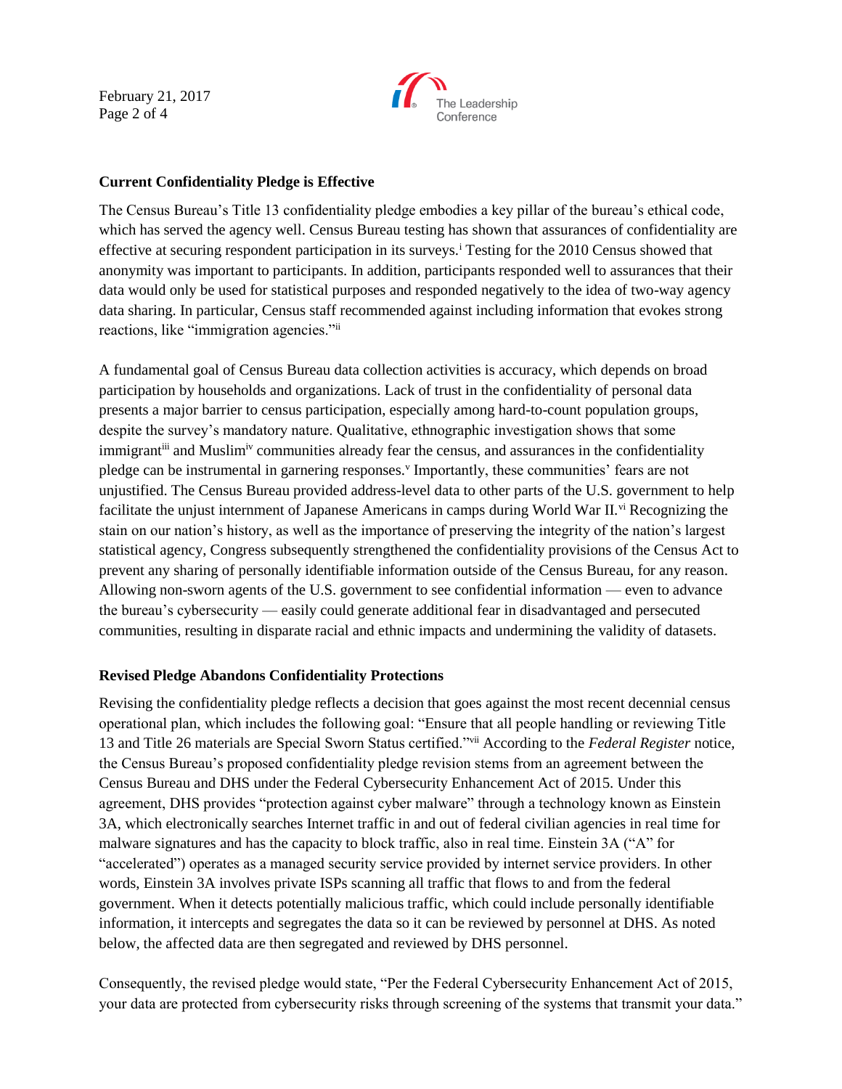February 21, 2017 Page 2 of 4



## **Current Confidentiality Pledge is Effective**

The Census Bureau's Title 13 confidentiality pledge embodies a key pillar of the bureau's ethical code, which has served the agency well. Census Bureau testing has shown that assurances of confidentiality are effective at securing respondent participation in its surveys.<sup>i</sup> Testing for the 2010 Census showed that anonymity was important to participants. In addition, participants responded well to assurances that their data would only be used for statistical purposes and responded negatively to the idea of two-way agency data sharing. In particular, Census staff recommended against including information that evokes strong reactions, like "immigration agencies."ii

A fundamental goal of Census Bureau data collection activities is accuracy, which depends on broad participation by households and organizations. Lack of trust in the confidentiality of personal data presents a major barrier to census participation, especially among hard-to-count population groups, despite the survey's mandatory nature. Qualitative, ethnographic investigation shows that some immigrant<sup>iii</sup> and Muslim<sup>iv</sup> communities already fear the census, and assurances in the confidentiality pledge can be instrumental in garnering responses. Importantly, these communities' fears are not unjustified. The Census Bureau provided address-level data to other parts of the U.S. government to help facilitate the unjust internment of Japanese Americans in camps during World War II.<sup>vi</sup> Recognizing the stain on our nation's history, as well as the importance of preserving the integrity of the nation's largest statistical agency, Congress subsequently strengthened the confidentiality provisions of the Census Act to prevent any sharing of personally identifiable information outside of the Census Bureau, for any reason. Allowing non-sworn agents of the U.S. government to see confidential information — even to advance the bureau's cybersecurity — easily could generate additional fear in disadvantaged and persecuted communities, resulting in disparate racial and ethnic impacts and undermining the validity of datasets.

## **Revised Pledge Abandons Confidentiality Protections**

Revising the confidentiality pledge reflects a decision that goes against the most recent decennial census operational plan, which includes the following goal: "Ensure that all people handling or reviewing Title 13 and Title 26 materials are Special Sworn Status certified."vii According to the *Federal Register* notice, the Census Bureau's proposed confidentiality pledge revision stems from an agreement between the Census Bureau and DHS under the Federal Cybersecurity Enhancement Act of 2015. Under this agreement, DHS provides "protection against cyber malware" through a technology known as Einstein 3A, which electronically searches Internet traffic in and out of federal civilian agencies in real time for malware signatures and has the capacity to block traffic, also in real time. Einstein 3A ("A" for "accelerated") operates as a managed security service provided by internet service providers. In other words, Einstein 3A involves private ISPs scanning all traffic that flows to and from the federal government. When it detects potentially malicious traffic, which could include personally identifiable information, it intercepts and segregates the data so it can be reviewed by personnel at DHS. As noted below, the affected data are then segregated and reviewed by DHS personnel.

Consequently, the revised pledge would state, "Per the Federal Cybersecurity Enhancement Act of 2015, your data are protected from cybersecurity risks through screening of the systems that transmit your data."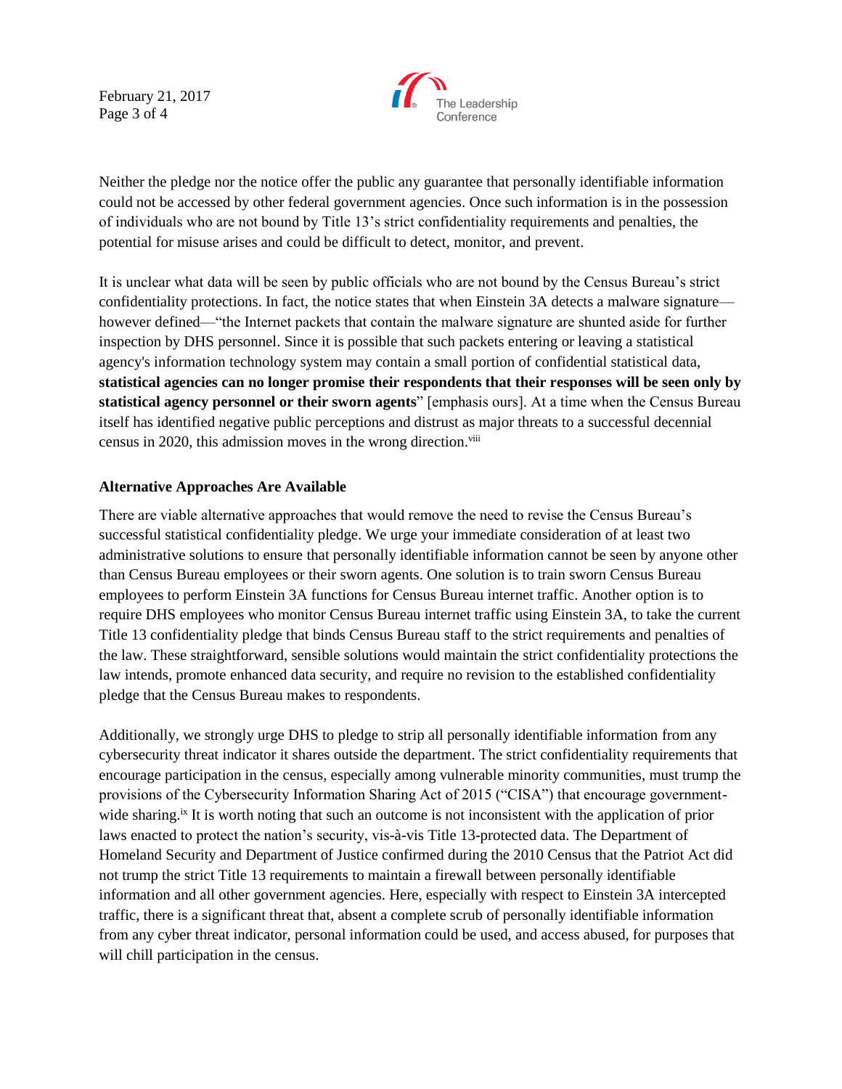February 21, 2017 Page 3 of 4



Neither the pledge nor the notice offer the public any guarantee that personally identifiable information could not be accessed by other federal government agencies. Once such information is in the possession of individuals who are not bound by Title 13's strict confidentiality requirements and penalties, the potential for misuse arises and could be difficult to detect, monitor, and prevent.

It is unclear what data will be seen by public officials who are not bound by the Census Bureau's strict confidentiality protections. In fact, the notice states that when Einstein 3A detects a malware signature however defined—"the Internet packets that contain the malware signature are shunted aside for further inspection by DHS personnel. Since it is possible that such packets entering or leaving a statistical agency's information technology system may contain a small portion of confidential statistical data, **statistical agencies can no longer promise their respondents that their responses will be seen only by statistical agency personnel or their sworn agents**" [emphasis ours]. At a time when the Census Bureau itself has identified negative public perceptions and distrust as major threats to a successful decennial census in 2020, this admission moves in the wrong direction.<sup>viii</sup>

## **Alternative Approaches Are Available**

There are viable alternative approaches that would remove the need to revise the Census Bureau's successful statistical confidentiality pledge. We urge your immediate consideration of at least two administrative solutions to ensure that personally identifiable information cannot be seen by anyone other than Census Bureau employees or their sworn agents. One solution is to train sworn Census Bureau employees to perform Einstein 3A functions for Census Bureau internet traffic. Another option is to require DHS employees who monitor Census Bureau internet traffic using Einstein 3A, to take the current Title 13 confidentiality pledge that binds Census Bureau staff to the strict requirements and penalties of the law. These straightforward, sensible solutions would maintain the strict confidentiality protections the law intends, promote enhanced data security, and require no revision to the established confidentiality pledge that the Census Bureau makes to respondents.

Additionally, we strongly urge DHS to pledge to strip all personally identifiable information from any cybersecurity threat indicator it shares outside the department. The strict confidentiality requirements that encourage participation in the census, especially among vulnerable minority communities, must trump the provisions of the Cybersecurity Information Sharing Act of 2015 ("CISA") that encourage governmentwide sharing.<sup>ix</sup> It is worth noting that such an outcome is not inconsistent with the application of prior laws enacted to protect the nation's security, vis-à-vis Title 13-protected data. The Department of Homeland Security and Department of Justice confirmed during the 2010 Census that the Patriot Act did not trump the strict Title 13 requirements to maintain a firewall between personally identifiable information and all other government agencies. Here, especially with respect to Einstein 3A intercepted traffic, there is a significant threat that, absent a complete scrub of personally identifiable information from any cyber threat indicator, personal information could be used, and access abused, for purposes that will chill participation in the census.